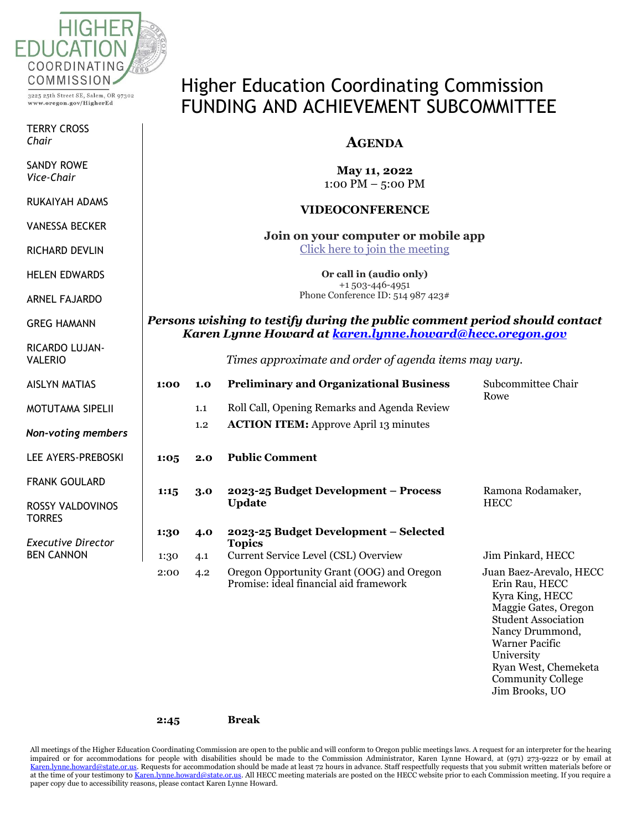

3225 25th Street SE, Salem, OR 97302 www.oregon.gov/HigherEd

TERRY CROSS *Chair*

SANDY ROWE *Chair Vice-Chair*

RUKAIYAH ADAMS *Vice-Chair*

VANESSA BECKER VANESSA BECKER

TERRY CROSS RICHARD DEVLIN

RAMON RAMIREZ HELEN EDWARDS

ARNEL FAJARDO

SANDY ROWE GREG HAMANN

VALERIO RICARDO LUJAN-

AISLYN MATIAS

**MOTUTAMA SIPELI** 

*members Non-voting members*

LEE AYERS-LEE AYERS-PREBOSKI

FRANK GOULARD

**TORRES** ROSSY VALDOVINO

KALI SULLIVAN *Executive Director* BEN CANNON

# Higher Education Coordinating Commission FUNDING AND ACHIEVEMENT SUBCOMMITTEE

## **AGENDA**

**May 11, 2022** 1:00 PM – 5:00 PM

### **VIDEOCONFERENCE**

**Join on your computer or mobile app** [Click here to join the meeting](https://teams.microsoft.com/l/meetup-join/19%3ameeting_MzM2ZmQxM2YtNGUxOS00ODA0LWIwOTgtMGI3MTFhYzI2MmVl%40thread.v2/0?context=%7b%22Tid%22%3a%22aa3f6932-fa7c-47b4-a0ce-a598cad161cf%22%2c%22Oid%22%3a%22e27751c5-b346-4737-8018-c8527a67292f%22%7d)

> **Or call in (audio only)** +1 503-446-4951 Phone Conference ID: 514 987 423#

*Persons wishing to testify during the public comment period should contact Karen Lynne Howard at [karen.lynne.howard@hecc.oregon.gov](mailto:karen.lynne.howard@hecc.oregon.gov)*

*Times approximate and order of agenda items may vary.*

|     | 1:00         | 1.0        | <b>Preliminary and Organizational Business</b>                                                 | Subcommittee Chair<br>Rowe                                                                                                                                                                                                       |
|-----|--------------|------------|------------------------------------------------------------------------------------------------|----------------------------------------------------------------------------------------------------------------------------------------------------------------------------------------------------------------------------------|
|     |              | 1.1        | Roll Call, Opening Remarks and Agenda Review                                                   |                                                                                                                                                                                                                                  |
| ers |              | 1.2        | <b>ACTION ITEM:</b> Approve April 13 minutes                                                   |                                                                                                                                                                                                                                  |
| SKI | 1:05         | 2.0        | <b>Public Comment</b>                                                                          |                                                                                                                                                                                                                                  |
| )S  | 1:15         | 3.0        | 2023-25 Budget Development – Process<br><b>Update</b>                                          | Ramona Rodamaker,<br><b>HECC</b>                                                                                                                                                                                                 |
| r   | 1:30<br>1:30 | 4.0<br>4.1 | 2023-25 Budget Development – Selected<br><b>Topics</b><br>Current Service Level (CSL) Overview | Jim Pinkard, HECC                                                                                                                                                                                                                |
|     | 2:00         | 4.2        | Oregon Opportunity Grant (OOG) and Oregon<br>Promise: ideal financial aid framework            | Juan Baez-Arevalo, HECC<br>Erin Rau, HECC<br>Kyra King, HECC<br>Maggie Gates, Oregon<br><b>Student Association</b><br>Nancy Drummond,<br><b>Warner Pacific</b><br>University<br>Ryan West, Chemeketa<br><b>Community College</b> |

Jim Brooks, UO

#### **2:45 Break**

All meetings of the Higher Education Coordinating Commission are open to the public and will conform to Oregon public meetings laws. A request for an interpreter for the hearing impaired or for accommodations for people with disabilities should be made to the Commission Administrator, Karen Lynne Howard, at (971) 273-9222 or by email at [Karen.lynne.howard@state.or.us.](mailto:Karen.lynne.howard@state.or.us) Requests for accommodation should be made at least 72 hours in advance. Staff respectfully requests that you submit written materials before or at the time of your testimony t[o Karen.lynne.howard@state.or.us.](mailto:Karen.lynne.howard@state.or.us) All HECC meeting materials are posted on the HECC website prior to each Commission meeting. If you require a paper copy due to accessibility reasons, please contact Karen Lynne Howard.